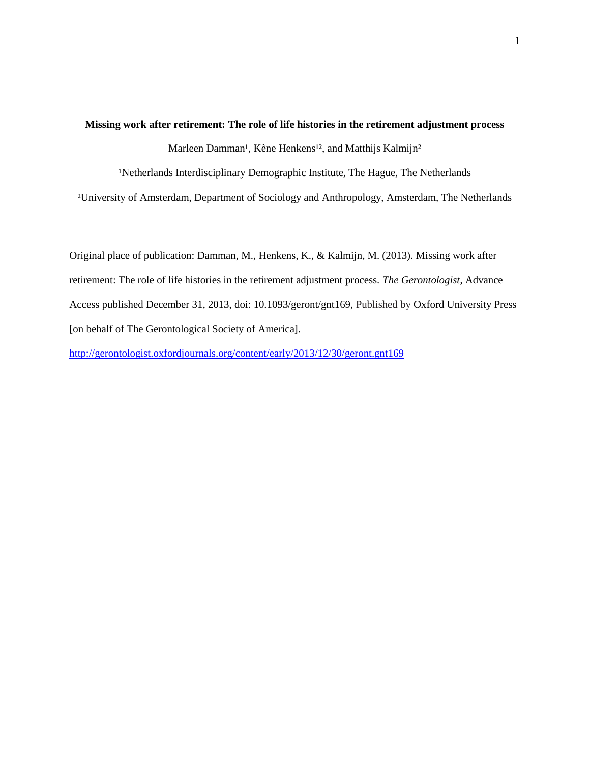# **Missing work after retirement: The role of life histories in the retirement adjustment process**

Marleen Damman<sup>1</sup>, Kène Henkens<sup>12</sup>, and Matthijs Kalmijn<sup>2</sup>

<sup>1</sup>Netherlands Interdisciplinary Demographic Institute, The Hague, The Netherlands

²University of Amsterdam, Department of Sociology and Anthropology, Amsterdam, The Netherlands

Original place of publication: Damman, M., Henkens, K., & Kalmijn, M. (2013). Missing work after retirement: The role of life histories in the retirement adjustment process. *The Gerontologist*, Advance Access published December 31, 2013, doi: 10.1093/geront/gnt169, Published by Oxford University Press [on behalf of The Gerontological Society of America].

<http://gerontologist.oxfordjournals.org/content/early/2013/12/30/geront.gnt169>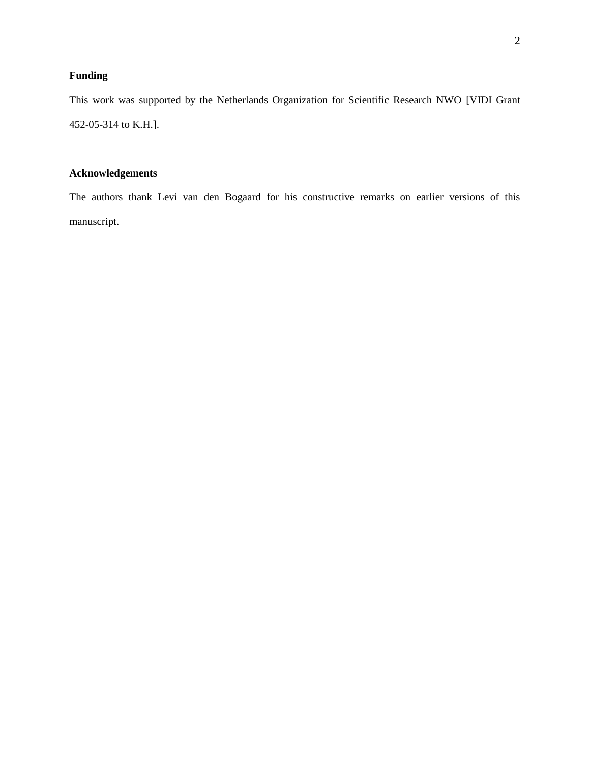## **Funding**

This work was supported by the Netherlands Organization for Scientific Research NWO [VIDI Grant 452-05-314 to K.H.].

## **Acknowledgements**

The authors thank Levi van den Bogaard for his constructive remarks on earlier versions of this manuscript.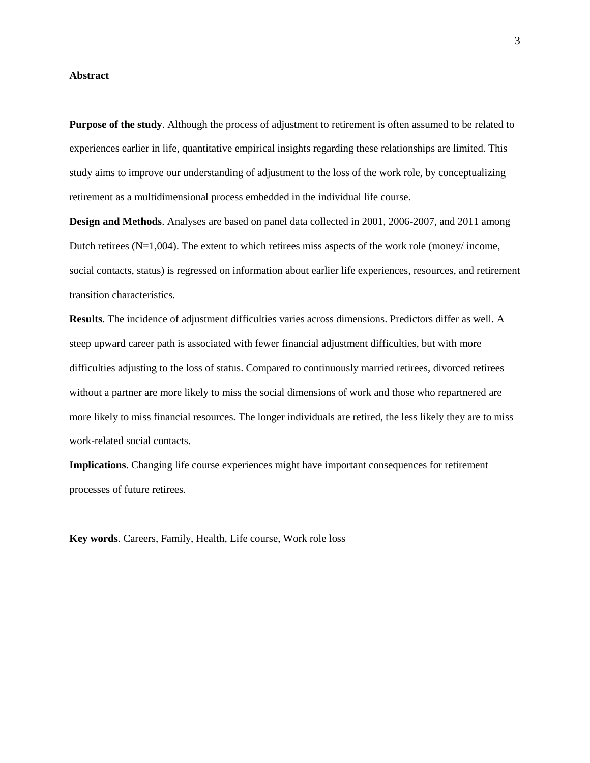#### **Abstract**

**Purpose of the study**. Although the process of adjustment to retirement is often assumed to be related to experiences earlier in life, quantitative empirical insights regarding these relationships are limited. This study aims to improve our understanding of adjustment to the loss of the work role, by conceptualizing retirement as a multidimensional process embedded in the individual life course.

**Design and Methods**. Analyses are based on panel data collected in 2001, 2006-2007, and 2011 among Dutch retirees  $(N=1,004)$ . The extent to which retirees miss aspects of the work role (money/ income, social contacts, status) is regressed on information about earlier life experiences, resources, and retirement transition characteristics.

**Results**. The incidence of adjustment difficulties varies across dimensions. Predictors differ as well. A steep upward career path is associated with fewer financial adjustment difficulties, but with more difficulties adjusting to the loss of status. Compared to continuously married retirees, divorced retirees without a partner are more likely to miss the social dimensions of work and those who repartnered are more likely to miss financial resources. The longer individuals are retired, the less likely they are to miss work-related social contacts.

**Implications**. Changing life course experiences might have important consequences for retirement processes of future retirees.

**Key words**. Careers, Family, Health, Life course, Work role loss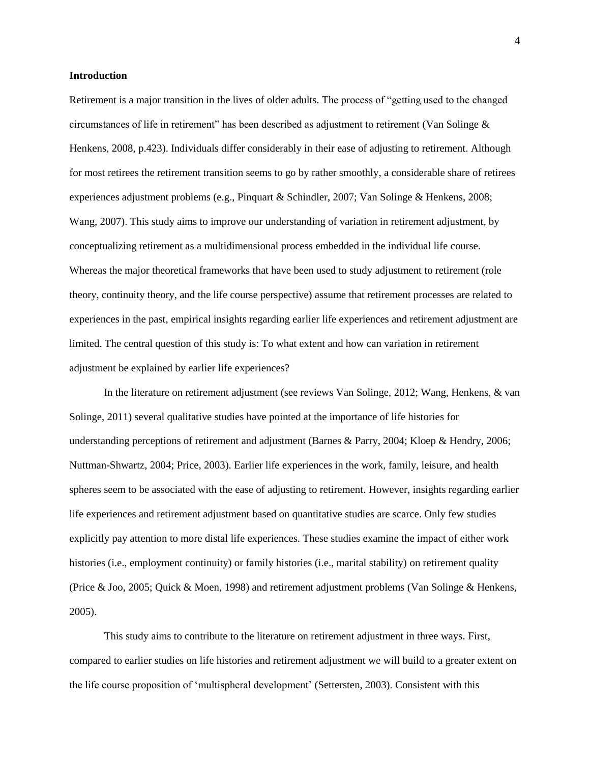#### **Introduction**

Retirement is a major transition in the lives of older adults. The process of "getting used to the changed circumstances of life in retirement" has been described as adjustment to retirement [\(Van Solinge](#page-22-0) & [Henkens, 2008, p.423\)](#page-22-0). Individuals differ considerably in their ease of adjusting to retirement. Although for most retirees the retirement transition seems to go by rather smoothly, a considerable share of retirees experiences adjustment problems (e.g., [Pinquart & Schindler, 2007;](#page-21-0) [Van Solinge & Henkens, 2008;](#page-22-0) [Wang, 2007\)](#page-23-0). This study aims to improve our understanding of variation in retirement adjustment, by conceptualizing retirement as a multidimensional process embedded in the individual life course. Whereas the major theoretical frameworks that have been used to study adjustment to retirement (role theory, continuity theory, and the life course perspective) assume that retirement processes are related to experiences in the past, empirical insights regarding earlier life experiences and retirement adjustment are limited. The central question of this study is: To what extent and how can variation in retirement adjustment be explained by earlier life experiences?

In the literature on retirement adjustment (see review[s Van Solinge, 2012;](#page-22-1) [Wang, Henkens, & van](#page-23-1)  [Solinge, 2011\)](#page-23-1) several qualitative studies have pointed at the importance of life histories for understanding perceptions of retirement and adjustment [\(Barnes & Parry, 2004;](#page-19-0) [Kloep & Hendry, 2006;](#page-20-0) [Nuttman-Shwartz, 2004;](#page-21-1) [Price, 2003\)](#page-21-2). Earlier life experiences in the work, family, leisure, and health spheres seem to be associated with the ease of adjusting to retirement. However, insights regarding earlier life experiences and retirement adjustment based on quantitative studies are scarce. Only few studies explicitly pay attention to more distal life experiences. These studies examine the impact of either work histories (i.e., employment continuity) or family histories (i.e., marital stability) on retirement quality [\(Price & Joo, 2005;](#page-21-3) [Quick & Moen, 1998\)](#page-21-4) and retirement adjustment problems [\(Van Solinge & Henkens,](#page-22-2)  [2005\)](#page-22-2).

This study aims to contribute to the literature on retirement adjustment in three ways. First, compared to earlier studies on life histories and retirement adjustment we will build to a greater extent on the life course proposition of 'multispheral development' [\(Settersten, 2003\)](#page-21-5). Consistent with this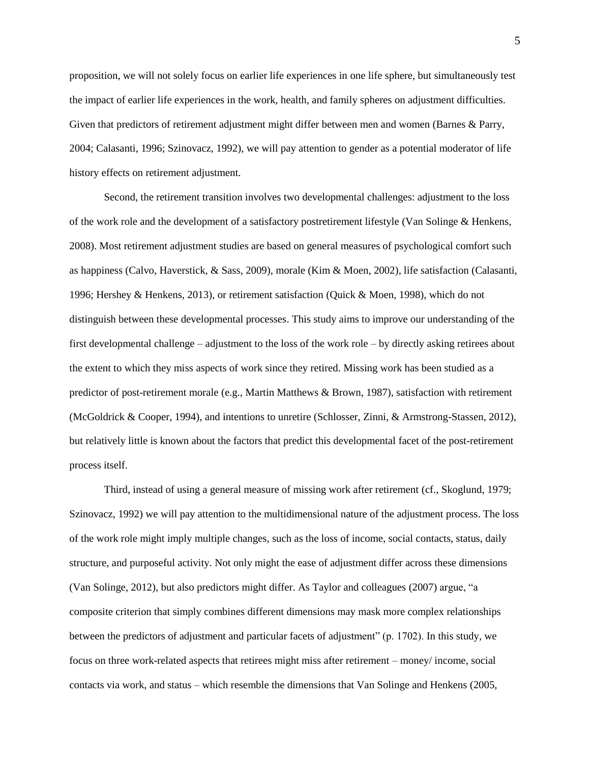proposition, we will not solely focus on earlier life experiences in one life sphere, but simultaneously test the impact of earlier life experiences in the work, health, and family spheres on adjustment difficulties. Given that predictors of retirement adjustment might differ between men and women [\(Barnes & Parry,](#page-19-0)  [2004;](#page-19-0) [Calasanti, 1996;](#page-19-1) [Szinovacz, 1992\)](#page-22-3), we will pay attention to gender as a potential moderator of life history effects on retirement adjustment.

Second, the retirement transition involves two developmental challenges: adjustment to the loss of the work role and the development of a satisfactory postretirement lifestyle [\(Van Solinge & Henkens,](#page-22-0)  [2008\)](#page-22-0). Most retirement adjustment studies are based on general measures of psychological comfort such as happiness [\(Calvo, Haverstick, & Sass, 2009\)](#page-19-2), morale [\(Kim & Moen, 2002\)](#page-20-1), life satisfaction [\(Calasanti,](#page-19-1)  [1996;](#page-19-1) [Hershey & Henkens, 2013\)](#page-20-2), or retirement satisfaction [\(Quick & Moen, 1998\)](#page-21-4), which do not distinguish between these developmental processes. This study aims to improve our understanding of the first developmental challenge – adjustment to the loss of the work role – by directly asking retirees about the extent to which they miss aspects of work since they retired. Missing work has been studied as a predictor of post-retirement morale [\(e.g., Martin Matthews & Brown, 1987\)](#page-20-3), satisfaction with retirement [\(McGoldrick & Cooper, 1994\)](#page-20-4), and intentions to unretire [\(Schlosser, Zinni, & Armstrong-Stassen, 2012\)](#page-21-6), but relatively little is known about the factors that predict this developmental facet of the post-retirement process itself.

Third, instead of using a general measure of missing work after retirement (cf., [Skoglund, 1979;](#page-21-7) [Szinovacz, 1992\)](#page-22-3) we will pay attention to the multidimensional nature of the adjustment process. The loss of the work role might imply multiple changes, such as the loss of income, social contacts, status, daily structure, and purposeful activity. Not only might the ease of adjustment differ across these dimensions [\(Van Solinge, 2012\)](#page-22-1), but also predictors might differ. As Taylor and colleagues [\(2007\)](#page-22-4) argue, "a composite criterion that simply combines different dimensions may mask more complex relationships between the predictors of adjustment and particular facets of adjustment" (p. 1702). In this study, we focus on three work-related aspects that retirees might miss after retirement – money/ income, social contacts via work, and status – which resemble the dimensions that Van Solinge and Henkens [\(2005,](#page-22-2)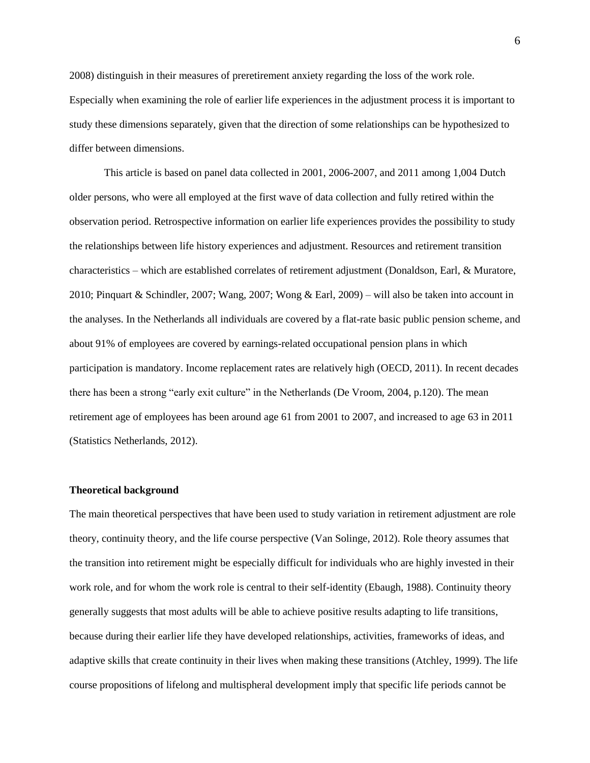[2008\)](#page-22-0) distinguish in their measures of preretirement anxiety regarding the loss of the work role. Especially when examining the role of earlier life experiences in the adjustment process it is important to study these dimensions separately, given that the direction of some relationships can be hypothesized to differ between dimensions.

This article is based on panel data collected in 2001, 2006-2007, and 2011 among 1,004 Dutch older persons, who were all employed at the first wave of data collection and fully retired within the observation period. Retrospective information on earlier life experiences provides the possibility to study the relationships between life history experiences and adjustment. Resources and retirement transition characteristics – which are established correlates of retirement adjustment [\(Donaldson, Earl, & Muratore,](#page-19-3)  [2010;](#page-19-3) [Pinquart & Schindler, 2007;](#page-21-0) [Wang, 2007;](#page-23-0) [Wong & Earl, 2009\)](#page-23-2) – will also be taken into account in the analyses. In the Netherlands all individuals are covered by a flat-rate basic public pension scheme, and about 91% of employees are covered by earnings-related occupational pension plans in which participation is mandatory. Income replacement rates are relatively high [\(OECD, 2011\)](#page-21-8). In recent decades there has been a strong "early exit culture" in the Netherlands [\(De Vroom, 2004, p.120\)](#page-19-4). The mean retirement age of employees has been around age 61 from 2001 to 2007, and increased to age 63 in 2011 [\(Statistics Netherlands, 2012\)](#page-22-5).

#### **Theoretical background**

The main theoretical perspectives that have been used to study variation in retirement adjustment are role theory, continuity theory, and the life course perspective [\(Van Solinge, 2012\)](#page-22-1). Role theory assumes that the transition into retirement might be especially difficult for individuals who are highly invested in their work role, and for whom the work role is central to their self-identity [\(Ebaugh, 1988\)](#page-19-5). Continuity theory generally suggests that most adults will be able to achieve positive results adapting to life transitions, because during their earlier life they have developed relationships, activities, frameworks of ideas, and adaptive skills that create continuity in their lives when making these transitions [\(Atchley, 1999\)](#page-19-6). The life course propositions of lifelong and multispheral development imply that specific life periods cannot be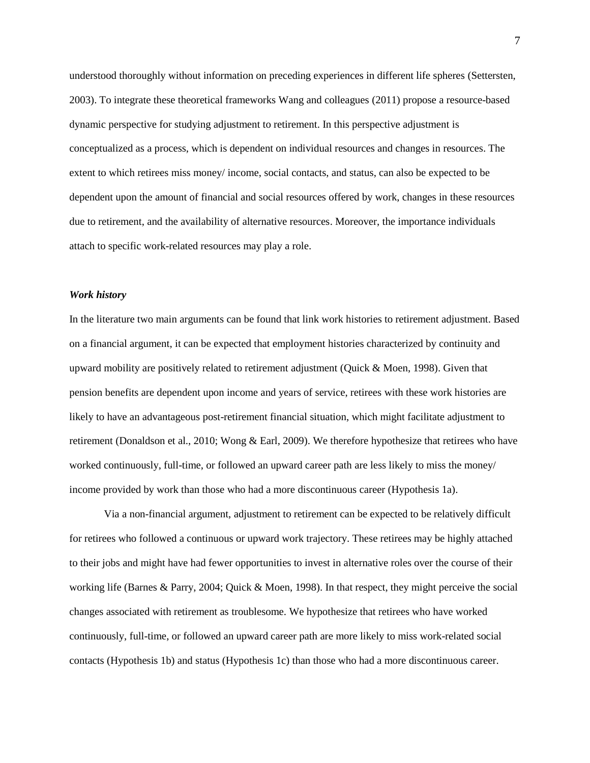understood thoroughly without information on preceding experiences in different life spheres [\(Settersten,](#page-21-5)  [2003\)](#page-21-5). To integrate these theoretical frameworks Wang and colleagues [\(2011\)](#page-23-1) propose a resource-based dynamic perspective for studying adjustment to retirement. In this perspective adjustment is conceptualized as a process, which is dependent on individual resources and changes in resources. The extent to which retirees miss money/ income, social contacts, and status, can also be expected to be dependent upon the amount of financial and social resources offered by work, changes in these resources due to retirement, and the availability of alternative resources. Moreover, the importance individuals attach to specific work-related resources may play a role.

#### *Work history*

In the literature two main arguments can be found that link work histories to retirement adjustment. Based on a financial argument, it can be expected that employment histories characterized by continuity and upward mobility are positively related to retirement adjustment [\(Quick & Moen, 1998\)](#page-21-4). Given that pension benefits are dependent upon income and years of service, retirees with these work histories are likely to have an advantageous post-retirement financial situation, which might facilitate adjustment to retirement [\(Donaldson et al., 2010;](#page-19-3) [Wong & Earl, 2009\)](#page-23-2). We therefore hypothesize that retirees who have worked continuously, full-time, or followed an upward career path are less likely to miss the money/ income provided by work than those who had a more discontinuous career (Hypothesis 1a).

Via a non-financial argument, adjustment to retirement can be expected to be relatively difficult for retirees who followed a continuous or upward work trajectory. These retirees may be highly attached to their jobs and might have had fewer opportunities to invest in alternative roles over the course of their working life [\(Barnes & Parry, 2004;](#page-19-0) [Quick & Moen, 1998\)](#page-21-4). In that respect, they might perceive the social changes associated with retirement as troublesome. We hypothesize that retirees who have worked continuously, full-time, or followed an upward career path are more likely to miss work-related social contacts (Hypothesis 1b) and status (Hypothesis 1c) than those who had a more discontinuous career.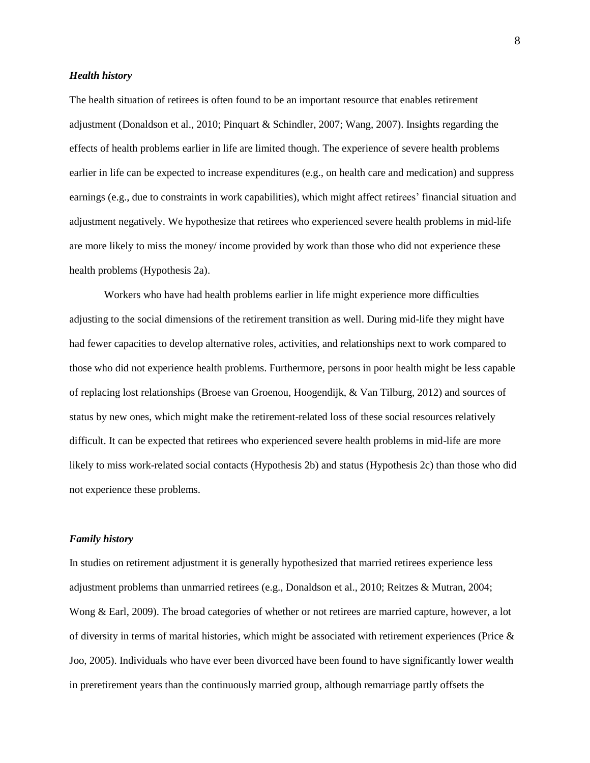#### *Health history*

The health situation of retirees is often found to be an important resource that enables retirement adjustment [\(Donaldson et al., 2010;](#page-19-3) [Pinquart & Schindler, 2007;](#page-21-0) [Wang, 2007\)](#page-23-0). Insights regarding the effects of health problems earlier in life are limited though. The experience of severe health problems earlier in life can be expected to increase expenditures (e.g., on health care and medication) and suppress earnings (e.g., due to constraints in work capabilities), which might affect retirees' financial situation and adjustment negatively. We hypothesize that retirees who experienced severe health problems in mid-life are more likely to miss the money/ income provided by work than those who did not experience these health problems (Hypothesis 2a).

Workers who have had health problems earlier in life might experience more difficulties adjusting to the social dimensions of the retirement transition as well. During mid-life they might have had fewer capacities to develop alternative roles, activities, and relationships next to work compared to those who did not experience health problems. Furthermore, persons in poor health might be less capable of replacing lost relationships [\(Broese van Groenou, Hoogendijk, & Van Tilburg, 2012\)](#page-19-7) and sources of status by new ones, which might make the retirement-related loss of these social resources relatively difficult. It can be expected that retirees who experienced severe health problems in mid-life are more likely to miss work-related social contacts (Hypothesis 2b) and status (Hypothesis 2c) than those who did not experience these problems.

#### *Family history*

In studies on retirement adjustment it is generally hypothesized that married retirees experience less adjustment problems than unmarried retirees (e.g., [Donaldson et al., 2010;](#page-19-3) [Reitzes & Mutran, 2004;](#page-21-9) [Wong & Earl, 2009\)](#page-23-2). The broad categories of whether or not retirees are married capture, however, a lot of diversity in terms of marital histories, which might be associated with retirement experiences [\(Price &](#page-21-3)  [Joo, 2005\)](#page-21-3). Individuals who have ever been divorced have been found to have significantly lower wealth in preretirement years than the continuously married group, although remarriage partly offsets the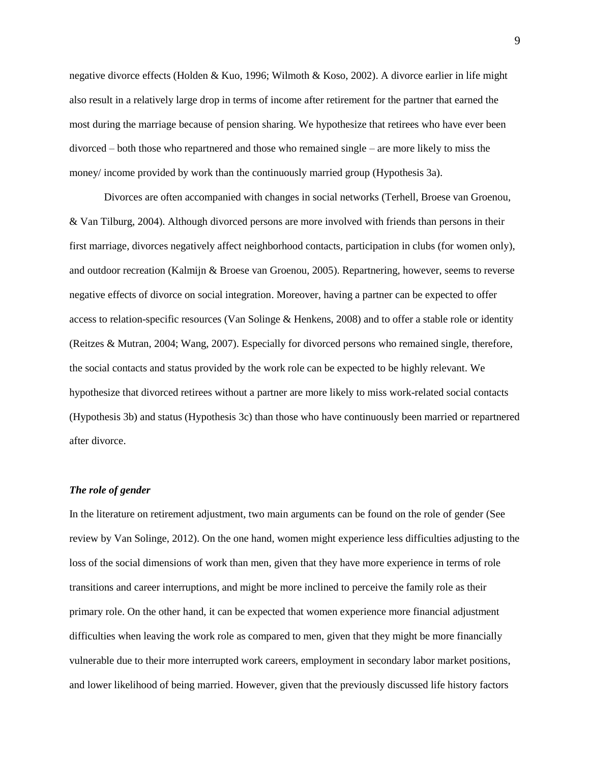negative divorce effects [\(Holden & Kuo, 1996;](#page-20-5) [Wilmoth & Koso, 2002\)](#page-23-3). A divorce earlier in life might also result in a relatively large drop in terms of income after retirement for the partner that earned the most during the marriage because of pension sharing. We hypothesize that retirees who have ever been divorced – both those who repartnered and those who remained single – are more likely to miss the money/ income provided by work than the continuously married group (Hypothesis 3a).

Divorces are often accompanied with changes in social networks [\(Terhell, Broese van Groenou,](#page-22-6)  [& Van Tilburg, 2004\)](#page-22-6). Although divorced persons are more involved with friends than persons in their first marriage, divorces negatively affect neighborhood contacts, participation in clubs (for women only), and outdoor recreation [\(Kalmijn & Broese van Groenou, 2005\)](#page-20-6). Repartnering, however, seems to reverse negative effects of divorce on social integration. Moreover, having a partner can be expected to offer access to relation-specific resources [\(Van Solinge & Henkens, 2008\)](#page-22-0) and to offer a stable role or identity [\(Reitzes & Mutran, 2004;](#page-21-9) [Wang, 2007\)](#page-23-0). Especially for divorced persons who remained single, therefore, the social contacts and status provided by the work role can be expected to be highly relevant. We hypothesize that divorced retirees without a partner are more likely to miss work-related social contacts (Hypothesis 3b) and status (Hypothesis 3c) than those who have continuously been married or repartnered after divorce.

#### *The role of gender*

In the literature on retirement adjustment, two main arguments can be found on the role of gender [\(See](#page-22-1)  [review by Van Solinge, 2012\)](#page-22-1). On the one hand, women might experience less difficulties adjusting to the loss of the social dimensions of work than men, given that they have more experience in terms of role transitions and career interruptions, and might be more inclined to perceive the family role as their primary role. On the other hand, it can be expected that women experience more financial adjustment difficulties when leaving the work role as compared to men, given that they might be more financially vulnerable due to their more interrupted work careers, employment in secondary labor market positions, and lower likelihood of being married. However, given that the previously discussed life history factors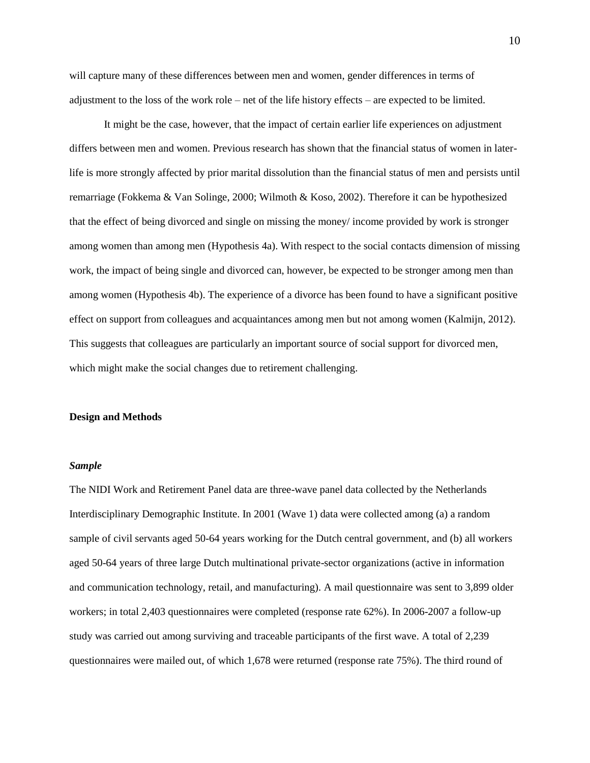will capture many of these differences between men and women, gender differences in terms of adjustment to the loss of the work role – net of the life history effects – are expected to be limited.

It might be the case, however, that the impact of certain earlier life experiences on adjustment differs between men and women. Previous research has shown that the financial status of women in laterlife is more strongly affected by prior marital dissolution than the financial status of men and persists until remarriage [\(Fokkema & Van Solinge, 2000;](#page-20-7) [Wilmoth & Koso, 2002\)](#page-23-3). Therefore it can be hypothesized that the effect of being divorced and single on missing the money/ income provided by work is stronger among women than among men (Hypothesis 4a). With respect to the social contacts dimension of missing work, the impact of being single and divorced can, however, be expected to be stronger among men than among women (Hypothesis 4b). The experience of a divorce has been found to have a significant positive effect on support from colleagues and acquaintances among men but not among women [\(Kalmijn, 2012\)](#page-20-8). This suggests that colleagues are particularly an important source of social support for divorced men, which might make the social changes due to retirement challenging.

#### **Design and Methods**

#### *Sample*

The NIDI Work and Retirement Panel data are three-wave panel data collected by the Netherlands Interdisciplinary Demographic Institute. In 2001 (Wave 1) data were collected among (a) a random sample of civil servants aged 50-64 years working for the Dutch central government, and (b) all workers aged 50-64 years of three large Dutch multinational private-sector organizations (active in information and communication technology, retail, and manufacturing). A mail questionnaire was sent to 3,899 older workers; in total 2,403 questionnaires were completed (response rate 62%). In 2006-2007 a follow-up study was carried out among surviving and traceable participants of the first wave. A total of 2,239 questionnaires were mailed out, of which 1,678 were returned (response rate 75%). The third round of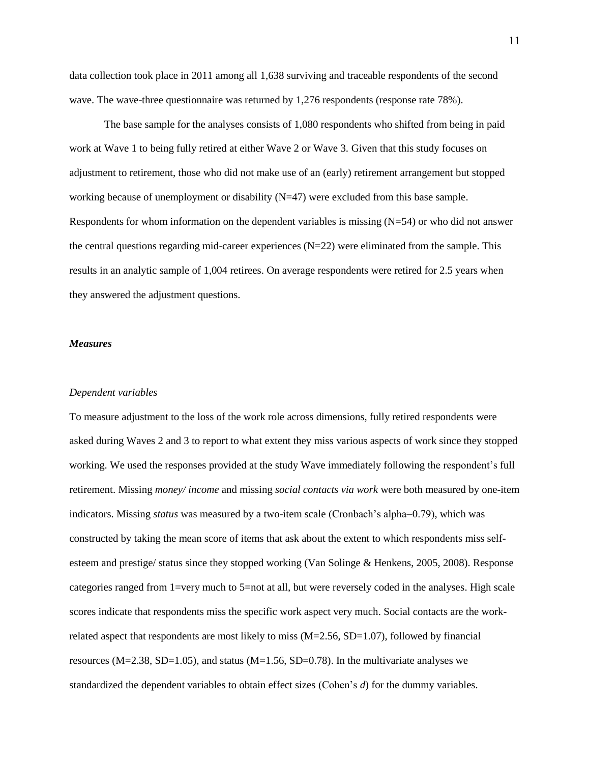data collection took place in 2011 among all 1,638 surviving and traceable respondents of the second wave. The wave-three questionnaire was returned by 1,276 respondents (response rate 78%).

The base sample for the analyses consists of 1,080 respondents who shifted from being in paid work at Wave 1 to being fully retired at either Wave 2 or Wave 3. Given that this study focuses on adjustment to retirement, those who did not make use of an (early) retirement arrangement but stopped working because of unemployment or disability (N=47) were excluded from this base sample. Respondents for whom information on the dependent variables is missing (N=54) or who did not answer the central questions regarding mid-career experiences  $(N=22)$  were eliminated from the sample. This results in an analytic sample of 1,004 retirees. On average respondents were retired for 2.5 years when they answered the adjustment questions.

#### *Measures*

#### *Dependent variables*

To measure adjustment to the loss of the work role across dimensions, fully retired respondents were asked during Waves 2 and 3 to report to what extent they miss various aspects of work since they stopped working. We used the responses provided at the study Wave immediately following the respondent's full retirement. Missing *money/ income* and missing *social contacts via work* were both measured by one-item indicators. Missing *status* was measured by a two-item scale (Cronbach's alpha=0.79), which was constructed by taking the mean score of items that ask about the extent to which respondents miss selfesteem and prestige/ status since they stopped working [\(Van Solinge & Henkens, 2005,](#page-22-2) [2008\)](#page-22-0). Response categories ranged from 1=very much to 5=not at all, but were reversely coded in the analyses. High scale scores indicate that respondents miss the specific work aspect very much. Social contacts are the workrelated aspect that respondents are most likely to miss  $(M=2.56, SD=1.07)$ , followed by financial resources (M=2.38, SD=1.05), and status (M=1.56, SD=0.78). In the multivariate analyses we standardized the dependent variables to obtain effect sizes (Cohen's *d*) for the dummy variables.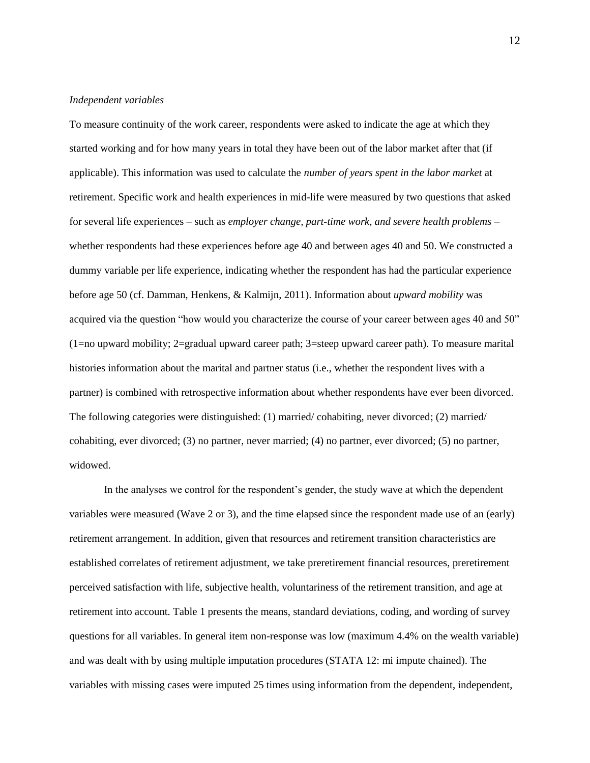#### *Independent variables*

To measure continuity of the work career, respondents were asked to indicate the age at which they started working and for how many years in total they have been out of the labor market after that (if applicable). This information was used to calculate the *number of years spent in the labor market* at retirement. Specific work and health experiences in mid-life were measured by two questions that asked for several life experiences – such as *employer change, part-time work, and severe health problems* – whether respondents had these experiences before age 40 and between ages 40 and 50. We constructed a dummy variable per life experience, indicating whether the respondent has had the particular experience before age 50 [\(cf. Damman, Henkens, & Kalmijn, 2011\)](#page-19-8). Information about *upward mobility* was acquired via the question "how would you characterize the course of your career between ages 40 and 50" (1=no upward mobility; 2=gradual upward career path; 3=steep upward career path). To measure marital histories information about the marital and partner status (i.e., whether the respondent lives with a partner) is combined with retrospective information about whether respondents have ever been divorced. The following categories were distinguished: (1) married/ cohabiting, never divorced; (2) married/ cohabiting, ever divorced; (3) no partner, never married; (4) no partner, ever divorced; (5) no partner, widowed.

In the analyses we control for the respondent's gender, the study wave at which the dependent variables were measured (Wave 2 or 3), and the time elapsed since the respondent made use of an (early) retirement arrangement. In addition, given that resources and retirement transition characteristics are established correlates of retirement adjustment, we take preretirement financial resources, preretirement perceived satisfaction with life, subjective health, voluntariness of the retirement transition, and age at retirement into account. Table 1 presents the means, standard deviations, coding, and wording of survey questions for all variables. In general item non-response was low (maximum 4.4% on the wealth variable) and was dealt with by using multiple imputation procedures (STATA 12: mi impute chained). The variables with missing cases were imputed 25 times using information from the dependent, independent,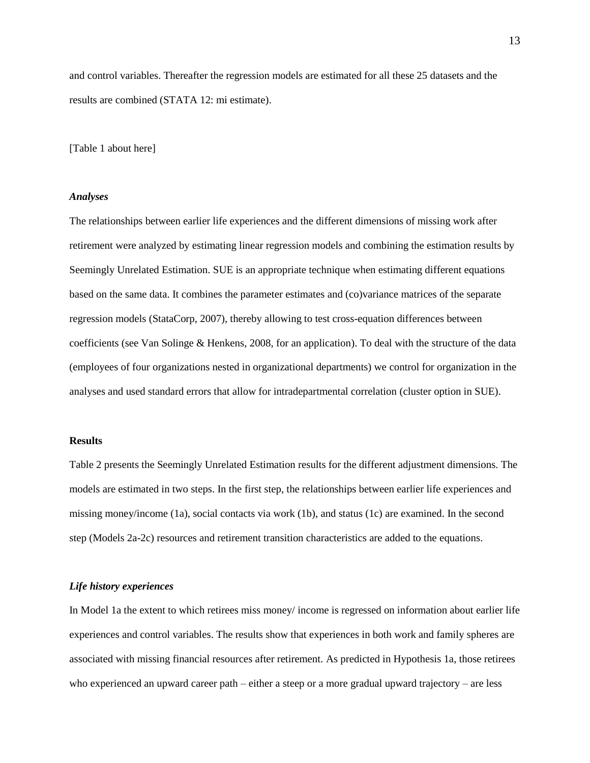and control variables. Thereafter the regression models are estimated for all these 25 datasets and the results are combined (STATA 12: mi estimate).

[Table 1 about here]

#### *Analyses*

The relationships between earlier life experiences and the different dimensions of missing work after retirement were analyzed by estimating linear regression models and combining the estimation results by Seemingly Unrelated Estimation. SUE is an appropriate technique when estimating different equations based on the same data. It combines the parameter estimates and (co)variance matrices of the separate regression models [\(StataCorp, 2007\)](#page-21-10), thereby allowing to test cross-equation differences between coefficients [\(see Van Solinge & Henkens, 2008, for an application\)](#page-22-0). To deal with the structure of the data (employees of four organizations nested in organizational departments) we control for organization in the analyses and used standard errors that allow for intradepartmental correlation (cluster option in SUE).

### **Results**

Table 2 presents the Seemingly Unrelated Estimation results for the different adjustment dimensions. The models are estimated in two steps. In the first step, the relationships between earlier life experiences and missing money/income (1a), social contacts via work (1b), and status (1c) are examined. In the second step (Models 2a-2c) resources and retirement transition characteristics are added to the equations.

#### *Life history experiences*

In Model 1a the extent to which retirees miss money/ income is regressed on information about earlier life experiences and control variables. The results show that experiences in both work and family spheres are associated with missing financial resources after retirement. As predicted in Hypothesis 1a, those retirees who experienced an upward career path – either a steep or a more gradual upward trajectory – are less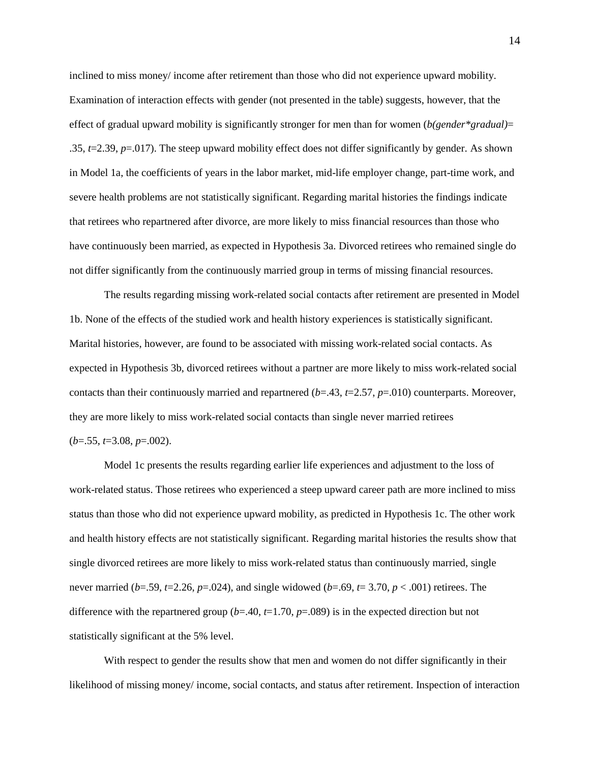inclined to miss money/ income after retirement than those who did not experience upward mobility. Examination of interaction effects with gender (not presented in the table) suggests, however, that the effect of gradual upward mobility is significantly stronger for men than for women (*b(gender\*gradual)*= .35, *t*=2.39, *p*=.017). The steep upward mobility effect does not differ significantly by gender. As shown in Model 1a, the coefficients of years in the labor market, mid-life employer change, part-time work, and severe health problems are not statistically significant. Regarding marital histories the findings indicate that retirees who repartnered after divorce, are more likely to miss financial resources than those who have continuously been married, as expected in Hypothesis 3a. Divorced retirees who remained single do not differ significantly from the continuously married group in terms of missing financial resources.

The results regarding missing work-related social contacts after retirement are presented in Model 1b. None of the effects of the studied work and health history experiences is statistically significant. Marital histories, however, are found to be associated with missing work-related social contacts. As expected in Hypothesis 3b, divorced retirees without a partner are more likely to miss work-related social contacts than their continuously married and repartnered (*b*=.43, *t*=2.57, *p*=.010) counterparts. Moreover, they are more likely to miss work-related social contacts than single never married retirees (*b*=.55, *t*=3.08, *p*=.002).

Model 1c presents the results regarding earlier life experiences and adjustment to the loss of work-related status. Those retirees who experienced a steep upward career path are more inclined to miss status than those who did not experience upward mobility, as predicted in Hypothesis 1c. The other work and health history effects are not statistically significant. Regarding marital histories the results show that single divorced retirees are more likely to miss work-related status than continuously married, single never married (*b*=.59, *t*=2.26, *p*=.024), and single widowed (*b*=.69, *t*= 3.70, *p* < .001) retirees. The difference with the repartnered group  $(b=40, t=1.70, p=.089)$  is in the expected direction but not statistically significant at the 5% level.

With respect to gender the results show that men and women do not differ significantly in their likelihood of missing money/ income, social contacts, and status after retirement. Inspection of interaction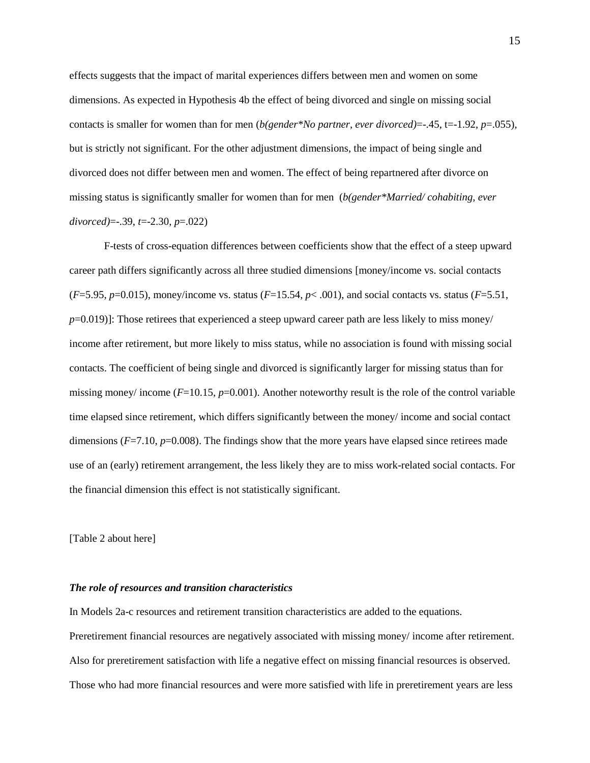effects suggests that the impact of marital experiences differs between men and women on some dimensions. As expected in Hypothesis 4b the effect of being divorced and single on missing social contacts is smaller for women than for men (*b(gender\*No partner, ever divorced)*=-.45, t=-1.92, *p*=.055), but is strictly not significant. For the other adjustment dimensions, the impact of being single and divorced does not differ between men and women. The effect of being repartnered after divorce on missing status is significantly smaller for women than for men (*b(gender\*Married/ cohabiting, ever divorced)*=-.39, *t*=-2.30, *p*=.022)

F-tests of cross-equation differences between coefficients show that the effect of a steep upward career path differs significantly across all three studied dimensions [money/income vs. social contacts (*F*=5.95, *p*=0.015), money/income vs. status (*F*=15.54, *p*< .001), and social contacts vs. status (*F*=5.51, *p*=0.019)]: Those retirees that experienced a steep upward career path are less likely to miss money/ income after retirement, but more likely to miss status, while no association is found with missing social contacts. The coefficient of being single and divorced is significantly larger for missing status than for missing money/ income ( $F=10.15$ ,  $p=0.001$ ). Another noteworthy result is the role of the control variable time elapsed since retirement, which differs significantly between the money/ income and social contact dimensions  $(F=7.10, p=0.008)$ . The findings show that the more years have elapsed since retirees made use of an (early) retirement arrangement, the less likely they are to miss work-related social contacts. For the financial dimension this effect is not statistically significant.

[Table 2 about here]

#### *The role of resources and transition characteristics*

In Models 2a-c resources and retirement transition characteristics are added to the equations. Preretirement financial resources are negatively associated with missing money/ income after retirement. Also for preretirement satisfaction with life a negative effect on missing financial resources is observed. Those who had more financial resources and were more satisfied with life in preretirement years are less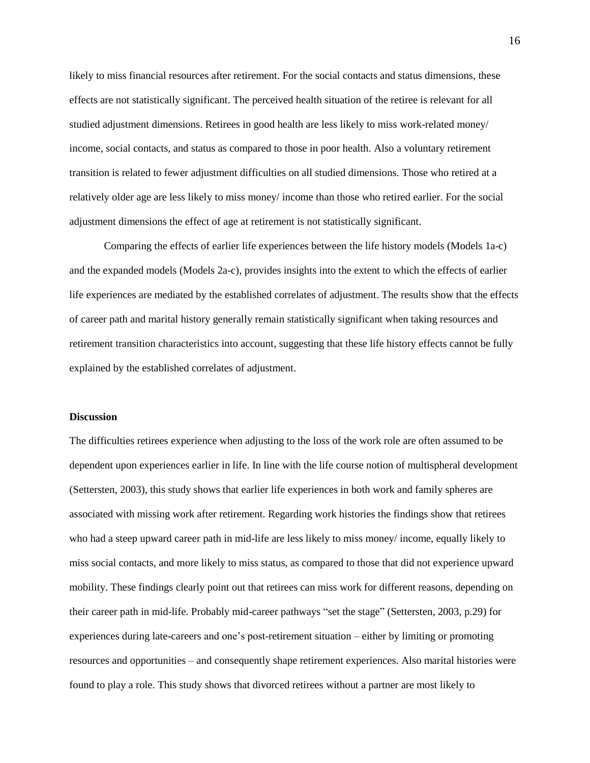likely to miss financial resources after retirement. For the social contacts and status dimensions, these effects are not statistically significant. The perceived health situation of the retiree is relevant for all studied adjustment dimensions. Retirees in good health are less likely to miss work-related money/ income, social contacts, and status as compared to those in poor health. Also a voluntary retirement transition is related to fewer adjustment difficulties on all studied dimensions. Those who retired at a relatively older age are less likely to miss money/ income than those who retired earlier. For the social adjustment dimensions the effect of age at retirement is not statistically significant.

Comparing the effects of earlier life experiences between the life history models (Models 1a-c) and the expanded models (Models 2a-c), provides insights into the extent to which the effects of earlier life experiences are mediated by the established correlates of adjustment. The results show that the effects of career path and marital history generally remain statistically significant when taking resources and retirement transition characteristics into account, suggesting that these life history effects cannot be fully explained by the established correlates of adjustment.

#### **Discussion**

The difficulties retirees experience when adjusting to the loss of the work role are often assumed to be dependent upon experiences earlier in life. In line with the life course notion of multispheral development [\(Settersten, 2003\)](#page-21-5), this study shows that earlier life experiences in both work and family spheres are associated with missing work after retirement. Regarding work histories the findings show that retirees who had a steep upward career path in mid-life are less likely to miss money/ income, equally likely to miss social contacts, and more likely to miss status, as compared to those that did not experience upward mobility. These findings clearly point out that retirees can miss work for different reasons, depending on their career path in mid-life. Probably mid-career pathways "set the stage" [\(Settersten, 2003, p.29\)](#page-21-5) for experiences during late-careers and one's post-retirement situation – either by limiting or promoting resources and opportunities – and consequently shape retirement experiences. Also marital histories were found to play a role. This study shows that divorced retirees without a partner are most likely to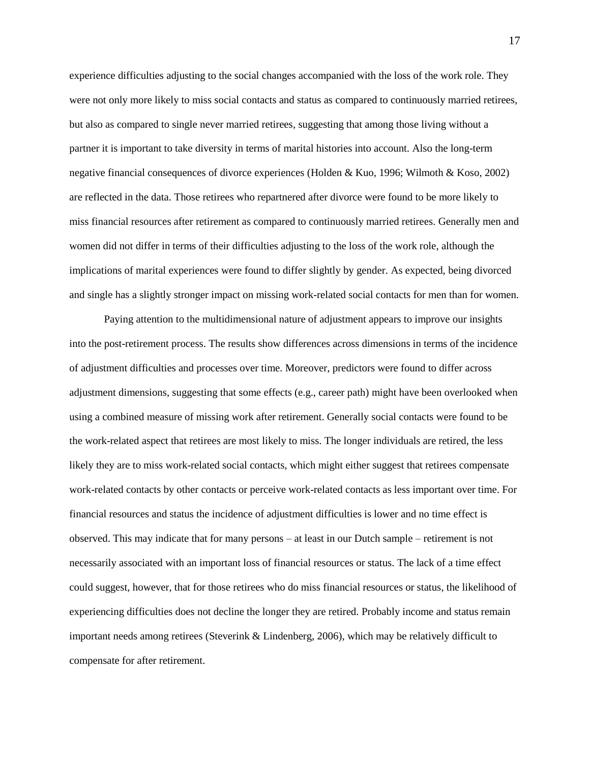experience difficulties adjusting to the social changes accompanied with the loss of the work role. They were not only more likely to miss social contacts and status as compared to continuously married retirees, but also as compared to single never married retirees, suggesting that among those living without a partner it is important to take diversity in terms of marital histories into account. Also the long-term negative financial consequences of divorce experiences [\(Holden & Kuo, 1996;](#page-20-5) [Wilmoth & Koso, 2002\)](#page-23-3) are reflected in the data. Those retirees who repartnered after divorce were found to be more likely to miss financial resources after retirement as compared to continuously married retirees. Generally men and women did not differ in terms of their difficulties adjusting to the loss of the work role, although the implications of marital experiences were found to differ slightly by gender. As expected, being divorced and single has a slightly stronger impact on missing work-related social contacts for men than for women.

Paying attention to the multidimensional nature of adjustment appears to improve our insights into the post-retirement process. The results show differences across dimensions in terms of the incidence of adjustment difficulties and processes over time. Moreover, predictors were found to differ across adjustment dimensions, suggesting that some effects (e.g., career path) might have been overlooked when using a combined measure of missing work after retirement. Generally social contacts were found to be the work-related aspect that retirees are most likely to miss. The longer individuals are retired, the less likely they are to miss work-related social contacts, which might either suggest that retirees compensate work-related contacts by other contacts or perceive work-related contacts as less important over time. For financial resources and status the incidence of adjustment difficulties is lower and no time effect is observed. This may indicate that for many persons – at least in our Dutch sample – retirement is not necessarily associated with an important loss of financial resources or status. The lack of a time effect could suggest, however, that for those retirees who do miss financial resources or status, the likelihood of experiencing difficulties does not decline the longer they are retired. Probably income and status remain important needs among retirees [\(Steverink & Lindenberg, 2006\)](#page-22-7), which may be relatively difficult to compensate for after retirement.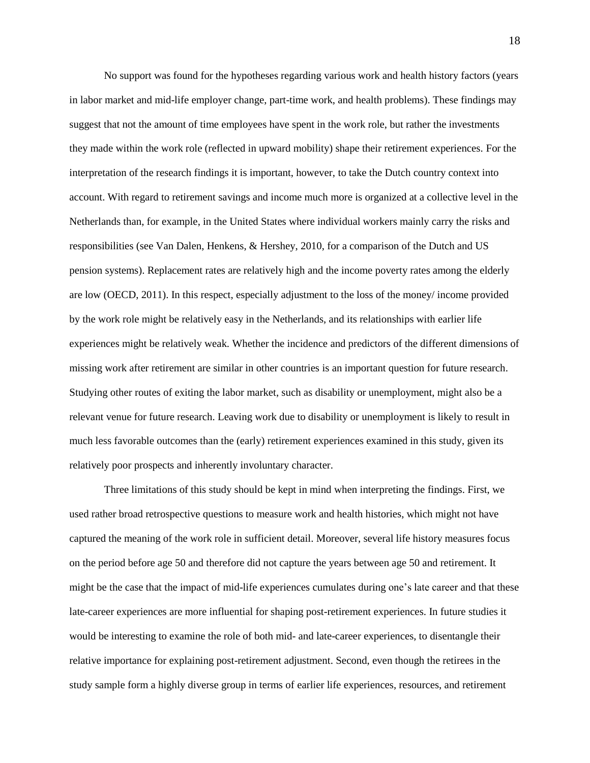No support was found for the hypotheses regarding various work and health history factors (years in labor market and mid-life employer change, part-time work, and health problems). These findings may suggest that not the amount of time employees have spent in the work role, but rather the investments they made within the work role (reflected in upward mobility) shape their retirement experiences. For the interpretation of the research findings it is important, however, to take the Dutch country context into account. With regard to retirement savings and income much more is organized at a collective level in the Netherlands than, for example, in the United States where individual workers mainly carry the risks and responsibilities [\(see Van Dalen, Henkens, & Hershey, 2010, for a comparison of the Dutch and US](#page-22-8)  [pension systems\)](#page-22-8). Replacement rates are relatively high and the income poverty rates among the elderly are low [\(OECD, 2011\)](#page-21-8). In this respect, especially adjustment to the loss of the money/ income provided by the work role might be relatively easy in the Netherlands, and its relationships with earlier life experiences might be relatively weak. Whether the incidence and predictors of the different dimensions of missing work after retirement are similar in other countries is an important question for future research. Studying other routes of exiting the labor market, such as disability or unemployment, might also be a relevant venue for future research. Leaving work due to disability or unemployment is likely to result in much less favorable outcomes than the (early) retirement experiences examined in this study, given its relatively poor prospects and inherently involuntary character.

Three limitations of this study should be kept in mind when interpreting the findings. First, we used rather broad retrospective questions to measure work and health histories, which might not have captured the meaning of the work role in sufficient detail. Moreover, several life history measures focus on the period before age 50 and therefore did not capture the years between age 50 and retirement. It might be the case that the impact of mid-life experiences cumulates during one's late career and that these late-career experiences are more influential for shaping post-retirement experiences. In future studies it would be interesting to examine the role of both mid- and late-career experiences, to disentangle their relative importance for explaining post-retirement adjustment. Second, even though the retirees in the study sample form a highly diverse group in terms of earlier life experiences, resources, and retirement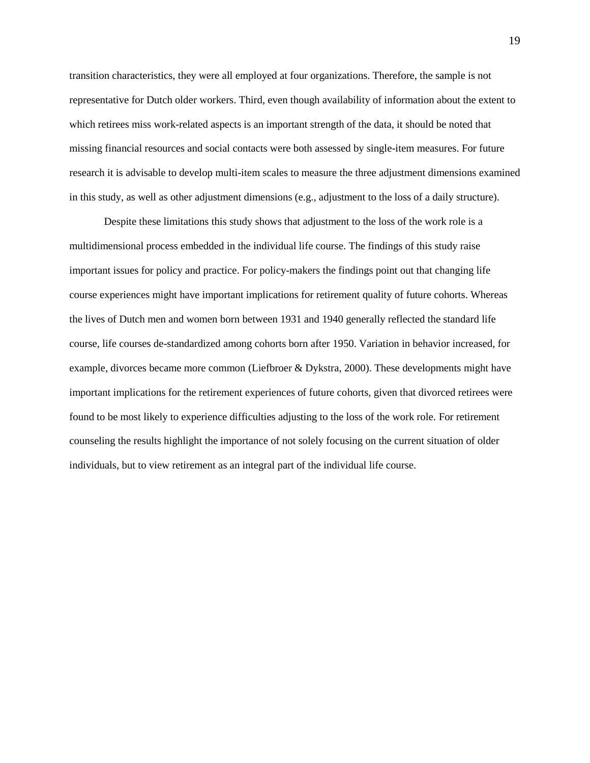transition characteristics, they were all employed at four organizations. Therefore, the sample is not representative for Dutch older workers. Third, even though availability of information about the extent to which retirees miss work-related aspects is an important strength of the data, it should be noted that missing financial resources and social contacts were both assessed by single-item measures. For future research it is advisable to develop multi-item scales to measure the three adjustment dimensions examined in this study, as well as other adjustment dimensions (e.g., adjustment to the loss of a daily structure).

Despite these limitations this study shows that adjustment to the loss of the work role is a multidimensional process embedded in the individual life course. The findings of this study raise important issues for policy and practice. For policy-makers the findings point out that changing life course experiences might have important implications for retirement quality of future cohorts. Whereas the lives of Dutch men and women born between 1931 and 1940 generally reflected the standard life course, life courses de-standardized among cohorts born after 1950. Variation in behavior increased, for example, divorces became more common [\(Liefbroer & Dykstra, 2000\)](#page-20-9). These developments might have important implications for the retirement experiences of future cohorts, given that divorced retirees were found to be most likely to experience difficulties adjusting to the loss of the work role. For retirement counseling the results highlight the importance of not solely focusing on the current situation of older individuals, but to view retirement as an integral part of the individual life course.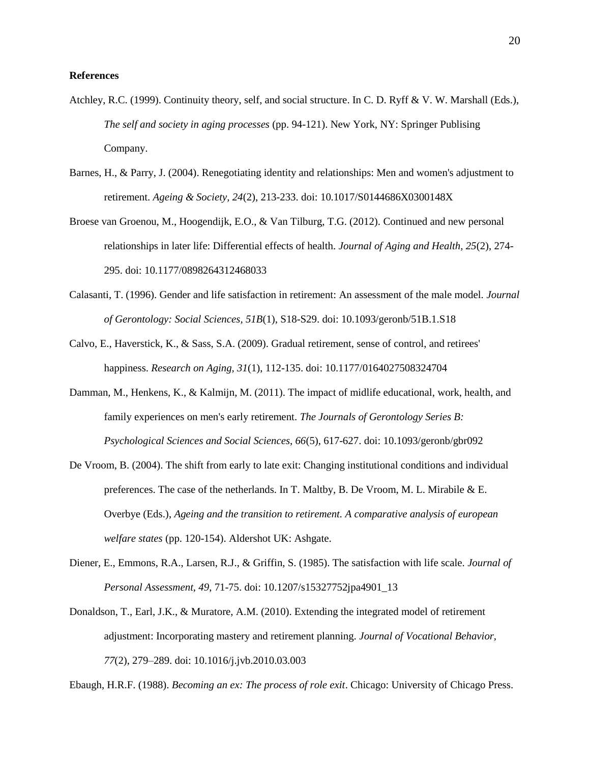#### **References**

- <span id="page-19-6"></span>Atchley, R.C. (1999). Continuity theory, self, and social structure. In C. D. Ryff & V. W. Marshall (Eds.), *The self and society in aging processes* (pp. 94-121). New York, NY: Springer Publising Company.
- <span id="page-19-0"></span>Barnes, H., & Parry, J. (2004). Renegotiating identity and relationships: Men and women's adjustment to retirement. *Ageing & Society, 24*(2), 213-233. doi: 10.1017/S0144686X0300148X
- <span id="page-19-7"></span>Broese van Groenou, M., Hoogendijk, E.O., & Van Tilburg, T.G. (2012). Continued and new personal relationships in later life: Differential effects of health. *Journal of Aging and Health, 25*(2), 274- 295. doi: 10.1177/0898264312468033
- <span id="page-19-1"></span>Calasanti, T. (1996). Gender and life satisfaction in retirement: An assessment of the male model. *Journal of Gerontology: Social Sciences, 51B*(1), S18-S29. doi: 10.1093/geronb/51B.1.S18
- <span id="page-19-2"></span>Calvo, E., Haverstick, K., & Sass, S.A. (2009). Gradual retirement, sense of control, and retirees' happiness. *Research on Aging, 31*(1), 112-135. doi: 10.1177/0164027508324704
- <span id="page-19-9"></span><span id="page-19-8"></span>Damman, M., Henkens, K., & Kalmijn, M. (2011). The impact of midlife educational, work, health, and family experiences on men's early retirement. *The Journals of Gerontology Series B: Psychological Sciences and Social Sciences, 66*(5), 617-627. doi: 10.1093/geronb/gbr092
- <span id="page-19-4"></span>De Vroom, B. (2004). The shift from early to late exit: Changing institutional conditions and individual preferences. The case of the netherlands. In T. Maltby, B. De Vroom, M. L. Mirabile & E. Overbye (Eds.), *Ageing and the transition to retirement. A comparative analysis of european welfare states* (pp. 120-154). Aldershot UK: Ashgate.
- Diener, E., Emmons, R.A., Larsen, R.J., & Griffin, S. (1985). The satisfaction with life scale. *Journal of Personal Assessment, 49*, 71-75. doi: 10.1207/s15327752jpa4901\_13
- <span id="page-19-3"></span>Donaldson, T., Earl, J.K., & Muratore, A.M. (2010). Extending the integrated model of retirement adjustment: Incorporating mastery and retirement planning. *Journal of Vocational Behavior, 77*(2), 279–289. doi: 10.1016/j.jvb.2010.03.003

<span id="page-19-5"></span>Ebaugh, H.R.F. (1988). *Becoming an ex: The process of role exit*. Chicago: University of Chicago Press.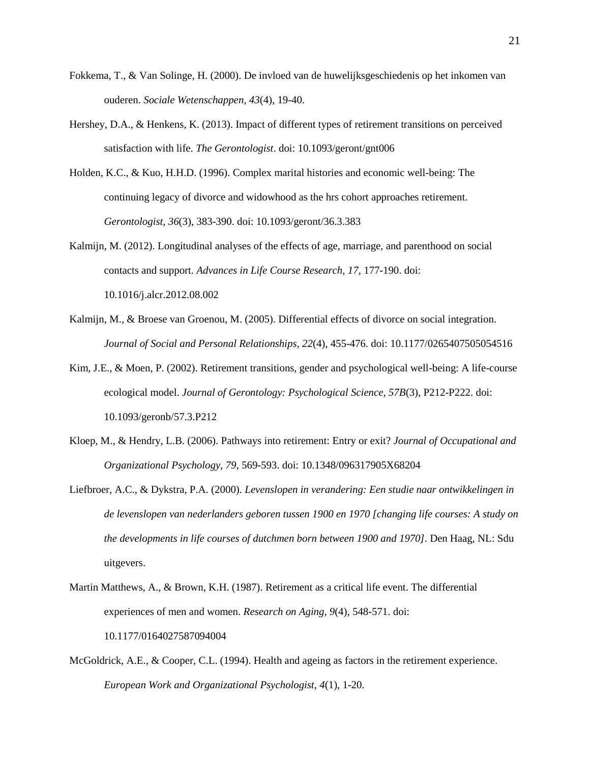- <span id="page-20-7"></span>Fokkema, T., & Van Solinge, H. (2000). De invloed van de huwelijksgeschiedenis op het inkomen van ouderen. *Sociale Wetenschappen, 43*(4), 19-40.
- <span id="page-20-2"></span>Hershey, D.A., & Henkens, K. (2013). Impact of different types of retirement transitions on perceived satisfaction with life. *The Gerontologist*. doi: 10.1093/geront/gnt006
- <span id="page-20-5"></span>Holden, K.C., & Kuo, H.H.D. (1996). Complex marital histories and economic well-being: The continuing legacy of divorce and widowhood as the hrs cohort approaches retirement. *Gerontologist, 36*(3), 383-390. doi: 10.1093/geront/36.3.383
- <span id="page-20-8"></span>Kalmijn, M. (2012). Longitudinal analyses of the effects of age, marriage, and parenthood on social contacts and support. *Advances in Life Course Research, 17*, 177-190. doi: 10.1016/j.alcr.2012.08.002
- <span id="page-20-6"></span>Kalmijn, M., & Broese van Groenou, M. (2005). Differential effects of divorce on social integration. *Journal of Social and Personal Relationships, 22*(4), 455-476. doi: 10.1177/0265407505054516
- <span id="page-20-1"></span>Kim, J.E., & Moen, P. (2002). Retirement transitions, gender and psychological well-being: A life-course ecological model. *Journal of Gerontology: Psychological Science, 57B*(3), P212-P222. doi: 10.1093/geronb/57.3.P212
- <span id="page-20-0"></span>Kloep, M., & Hendry, L.B. (2006). Pathways into retirement: Entry or exit? *Journal of Occupational and Organizational Psychology, 79*, 569-593. doi: 10.1348/096317905X68204
- <span id="page-20-9"></span>Liefbroer, A.C., & Dykstra, P.A. (2000). *Levenslopen in verandering: Een studie naar ontwikkelingen in de levenslopen van nederlanders geboren tussen 1900 en 1970 [changing life courses: A study on the developments in life courses of dutchmen born between 1900 and 1970]*. Den Haag, NL: Sdu uitgevers.
- <span id="page-20-3"></span>Martin Matthews, A., & Brown, K.H. (1987). Retirement as a critical life event. The differential experiences of men and women. *Research on Aging, 9*(4), 548-571. doi: 10.1177/0164027587094004
- <span id="page-20-4"></span>McGoldrick, A.E., & Cooper, C.L. (1994). Health and ageing as factors in the retirement experience. *European Work and Organizational Psychologist, 4*(1), 1-20.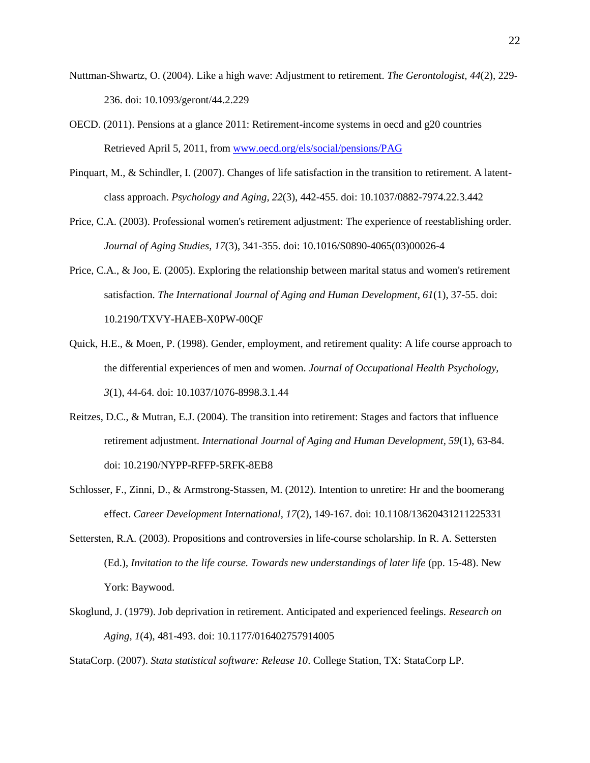- <span id="page-21-1"></span>Nuttman-Shwartz, O. (2004). Like a high wave: Adjustment to retirement. *The Gerontologist, 44*(2), 229- 236. doi: 10.1093/geront/44.2.229
- <span id="page-21-8"></span>OECD. (2011). Pensions at a glance 2011: Retirement-income systems in oecd and g20 countries Retrieved April 5, 2011, from [www.oecd.org/els/social/pensions/PAG](http://www.oecd.org/els/social/pensions/PAG)
- <span id="page-21-0"></span>Pinquart, M., & Schindler, I. (2007). Changes of life satisfaction in the transition to retirement. A latentclass approach. *Psychology and Aging, 22*(3), 442-455. doi: 10.1037/0882-7974.22.3.442
- <span id="page-21-2"></span>Price, C.A. (2003). Professional women's retirement adjustment: The experience of reestablishing order. *Journal of Aging Studies, 17*(3), 341-355. doi: 10.1016/S0890-4065(03)00026-4
- <span id="page-21-3"></span>Price, C.A., & Joo, E. (2005). Exploring the relationship between marital status and women's retirement satisfaction. *The International Journal of Aging and Human Development, 61*(1), 37-55. doi: 10.2190/TXVY-HAEB-X0PW-00QF
- <span id="page-21-4"></span>Quick, H.E., & Moen, P. (1998). Gender, employment, and retirement quality: A life course approach to the differential experiences of men and women. *Journal of Occupational Health Psychology, 3*(1), 44-64. doi: 10.1037/1076-8998.3.1.44
- <span id="page-21-9"></span>Reitzes, D.C., & Mutran, E.J. (2004). The transition into retirement: Stages and factors that influence retirement adjustment. *International Journal of Aging and Human Development, 59*(1), 63-84. doi: 10.2190/NYPP-RFFP-5RFK-8EB8
- <span id="page-21-6"></span>Schlosser, F., Zinni, D., & Armstrong-Stassen, M. (2012). Intention to unretire: Hr and the boomerang effect. *Career Development International, 17*(2), 149-167. doi: 10.1108/13620431211225331
- <span id="page-21-5"></span>Settersten, R.A. (2003). Propositions and controversies in life-course scholarship. In R. A. Settersten (Ed.), *Invitation to the life course. Towards new understandings of later life* (pp. 15-48). New York: Baywood.
- <span id="page-21-7"></span>Skoglund, J. (1979). Job deprivation in retirement. Anticipated and experienced feelings. *Research on Aging, 1*(4), 481-493. doi: 10.1177/016402757914005

<span id="page-21-10"></span>StataCorp. (2007). *Stata statistical software: Release 10*. College Station, TX: StataCorp LP.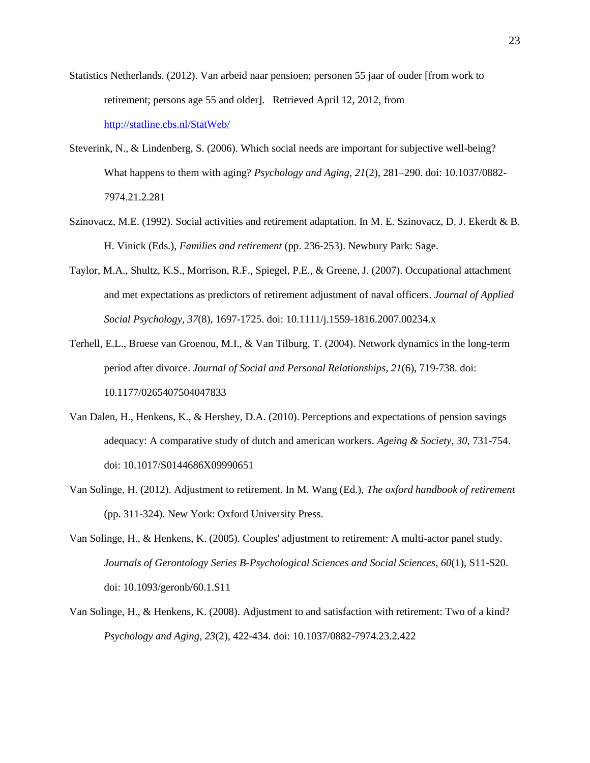- <span id="page-22-5"></span>Statistics Netherlands. (2012). Van arbeid naar pensioen; personen 55 jaar of ouder [from work to retirement; persons age 55 and older]. Retrieved April 12, 2012, from <http://statline.cbs.nl/StatWeb/>
- <span id="page-22-7"></span>Steverink, N., & Lindenberg, S. (2006). Which social needs are important for subjective well-being? What happens to them with aging? *Psychology and Aging, 21*(2), 281–290. doi: 10.1037/0882- 7974.21.2.281
- <span id="page-22-3"></span>Szinovacz, M.E. (1992). Social activities and retirement adaptation. In M. E. Szinovacz, D. J. Ekerdt & B. H. Vinick (Eds.), *Families and retirement* (pp. 236-253). Newbury Park: Sage.
- <span id="page-22-4"></span>Taylor, M.A., Shultz, K.S., Morrison, R.F., Spiegel, P.E., & Greene, J. (2007). Occupational attachment and met expectations as predictors of retirement adjustment of naval officers. *Journal of Applied Social Psychology, 37*(8), 1697-1725. doi: 10.1111/j.1559-1816.2007.00234.x
- <span id="page-22-6"></span>Terhell, E.L., Broese van Groenou, M.I., & Van Tilburg, T. (2004). Network dynamics in the long-term period after divorce. *Journal of Social and Personal Relationships, 21*(6), 719-738. doi: 10.1177/0265407504047833
- <span id="page-22-8"></span>Van Dalen, H., Henkens, K., & Hershey, D.A. (2010). Perceptions and expectations of pension savings adequacy: A comparative study of dutch and american workers. *Ageing & Society, 30*, 731-754. doi: 10.1017/S0144686X09990651
- <span id="page-22-1"></span>Van Solinge, H. (2012). Adjustment to retirement. In M. Wang (Ed.), *The oxford handbook of retirement* (pp. 311-324). New York: Oxford University Press.
- <span id="page-22-2"></span>Van Solinge, H., & Henkens, K. (2005). Couples' adjustment to retirement: A multi-actor panel study. *Journals of Gerontology Series B-Psychological Sciences and Social Sciences, 60*(1), S11-S20. doi: 10.1093/geronb/60.1.S11
- <span id="page-22-0"></span>Van Solinge, H., & Henkens, K. (2008). Adjustment to and satisfaction with retirement: Two of a kind? *Psychology and Aging, 23*(2), 422-434. doi: 10.1037/0882-7974.23.2.422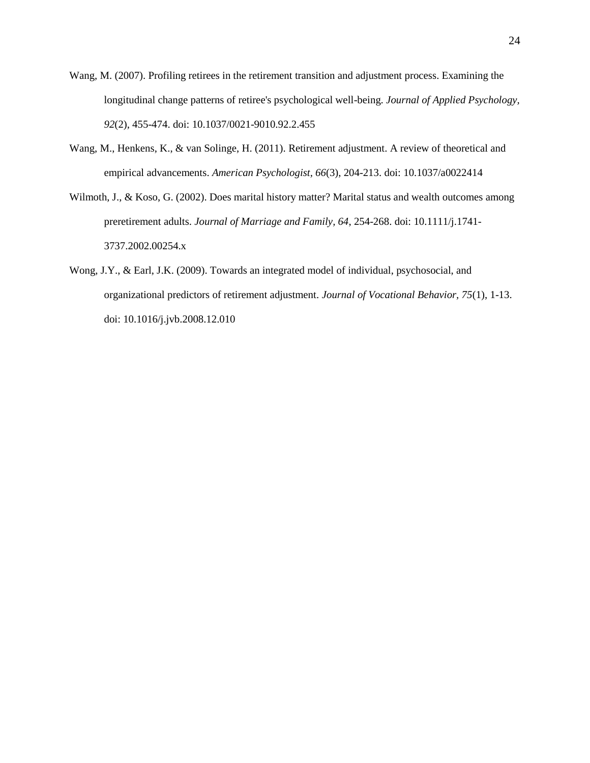- <span id="page-23-0"></span>Wang, M. (2007). Profiling retirees in the retirement transition and adjustment process. Examining the longitudinal change patterns of retiree's psychological well-being. *Journal of Applied Psychology, 92*(2), 455-474. doi: 10.1037/0021-9010.92.2.455
- <span id="page-23-1"></span>Wang, M., Henkens, K., & van Solinge, H. (2011). Retirement adjustment. A review of theoretical and empirical advancements. *American Psychologist, 66*(3), 204-213. doi: 10.1037/a0022414
- <span id="page-23-3"></span>Wilmoth, J., & Koso, G. (2002). Does marital history matter? Marital status and wealth outcomes among preretirement adults. *Journal of Marriage and Family, 64*, 254-268. doi: 10.1111/j.1741- 3737.2002.00254.x
- <span id="page-23-2"></span>Wong, J.Y., & Earl, J.K. (2009). Towards an integrated model of individual, psychosocial, and organizational predictors of retirement adjustment. *Journal of Vocational Behavior, 75*(1), 1-13. doi: 10.1016/j.jvb.2008.12.010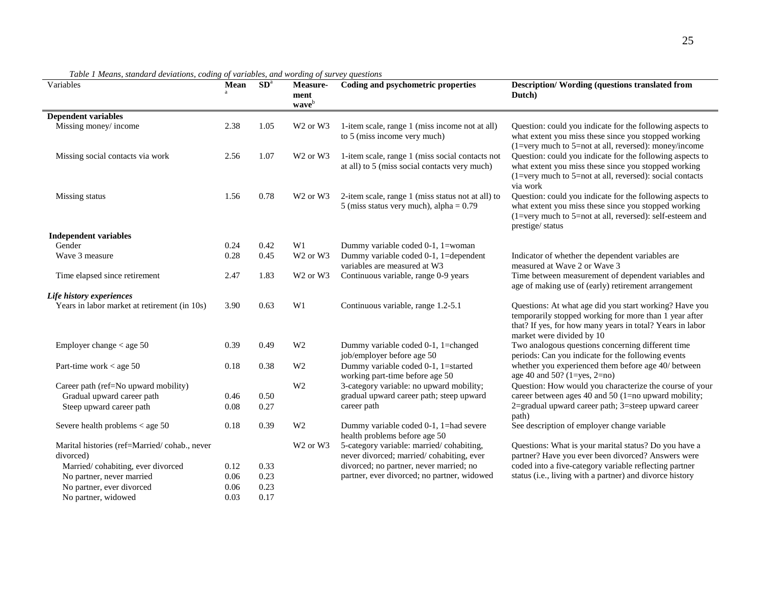| Variables                                    | Mean | SD <sup>a</sup> | Measure-<br>ment<br>waveb        | Coding and psychometric properties                                                               | <b>Description/Wording (questions translated from</b><br>Dutch)                                                                                                                                            |  |  |  |  |
|----------------------------------------------|------|-----------------|----------------------------------|--------------------------------------------------------------------------------------------------|------------------------------------------------------------------------------------------------------------------------------------------------------------------------------------------------------------|--|--|--|--|
| <b>Dependent variables</b>                   |      |                 |                                  |                                                                                                  |                                                                                                                                                                                                            |  |  |  |  |
| Missing money/income                         | 2.38 | 1.05            | W <sub>2</sub> or W <sub>3</sub> | 1-item scale, range 1 (miss income not at all)<br>to 5 (miss income very much)                   | Question: could you indicate for the following aspects to<br>what extent you miss these since you stopped working<br>$(1=very$ much to 5=not at all, reversed): money/income                               |  |  |  |  |
| Missing social contacts via work             | 2.56 | 1.07            | W <sub>2</sub> or W <sub>3</sub> | 1-item scale, range 1 (miss social contacts not<br>at all) to 5 (miss social contacts very much) | Question: could you indicate for the following aspects to<br>what extent you miss these since you stopped working<br>(1=very much to 5=not at all, reversed): social contacts<br>via work                  |  |  |  |  |
| Missing status                               | 1.56 | 0.78            | W <sub>2</sub> or W <sub>3</sub> | 2-item scale, range 1 (miss status not at all) to<br>5 (miss status very much), alpha = $0.79$   | Question: could you indicate for the following aspects to<br>what extent you miss these since you stopped working<br>(1=very much to 5=not at all, reversed): self-esteem and<br>prestige/ status          |  |  |  |  |
| <b>Independent variables</b>                 |      |                 |                                  |                                                                                                  |                                                                                                                                                                                                            |  |  |  |  |
| Gender                                       | 0.24 | 0.42            | W <sub>1</sub>                   | Dummy variable coded 0-1, 1=woman                                                                |                                                                                                                                                                                                            |  |  |  |  |
| Wave 3 measure                               | 0.28 | 0.45            | W <sub>2</sub> or W <sub>3</sub> | Dummy variable coded 0-1, 1=dependent<br>variables are measured at W3                            | Indicator of whether the dependent variables are<br>measured at Wave 2 or Wave 3                                                                                                                           |  |  |  |  |
| Time elapsed since retirement                | 2.47 | 1.83            | W <sub>2</sub> or W <sub>3</sub> | Continuous variable, range 0-9 years                                                             | Time between measurement of dependent variables and<br>age of making use of (early) retirement arrangement                                                                                                 |  |  |  |  |
| Life history experiences                     |      |                 |                                  |                                                                                                  |                                                                                                                                                                                                            |  |  |  |  |
| Years in labor market at retirement (in 10s) | 3.90 | 0.63            | W1                               | Continuous variable, range 1.2-5.1                                                               | Questions: At what age did you start working? Have you<br>temporarily stopped working for more than 1 year after<br>that? If yes, for how many years in total? Years in labor<br>market were divided by 10 |  |  |  |  |
| Employer change $<$ age 50                   | 0.39 | 0.49            | W <sub>2</sub>                   | Dummy variable coded 0-1, 1=changed<br>job/employer before age 50                                | Two analogous questions concerning different time<br>periods: Can you indicate for the following events                                                                                                    |  |  |  |  |
| Part-time work $<$ age 50                    | 0.18 | 0.38            | W <sub>2</sub>                   | Dummy variable coded 0-1, 1=started<br>working part-time before age 50                           | whether you experienced them before age 40/ between<br>age 40 and 50? (1=yes, 2=no)                                                                                                                        |  |  |  |  |
| Career path (ref=No upward mobility)         |      |                 | W <sub>2</sub>                   | 3-category variable: no upward mobility;                                                         | Question: How would you characterize the course of your                                                                                                                                                    |  |  |  |  |
| Gradual upward career path                   | 0.46 | 0.50            |                                  | gradual upward career path; steep upward                                                         | career between ages 40 and 50 (1=no upward mobility;                                                                                                                                                       |  |  |  |  |
| Steep upward career path                     | 0.08 | 0.27            |                                  | career path                                                                                      | 2=gradual upward career path; 3=steep upward career<br>path)                                                                                                                                               |  |  |  |  |
| Severe health problems $<$ age 50            | 0.18 | 0.39            | W <sub>2</sub>                   | Dummy variable coded 0-1, 1=had severe<br>health problems before age 50                          | See description of employer change variable                                                                                                                                                                |  |  |  |  |
| Marital histories (ref=Married/cohab., never |      |                 | W <sub>2</sub> or W <sub>3</sub> | 5-category variable: married/cohabiting,                                                         | Questions: What is your marital status? Do you have a                                                                                                                                                      |  |  |  |  |
| divorced)                                    |      |                 |                                  | never divorced; married/cohabiting, ever                                                         | partner? Have you ever been divorced? Answers were                                                                                                                                                         |  |  |  |  |
| Married/cohabiting, ever divorced            | 0.12 | 0.33            |                                  | divorced; no partner, never married; no                                                          | coded into a five-category variable reflecting partner                                                                                                                                                     |  |  |  |  |
| No partner, never married                    | 0.06 | 0.23            |                                  | partner, ever divorced; no partner, widowed                                                      | status (i.e., living with a partner) and divorce history                                                                                                                                                   |  |  |  |  |
| No partner, ever divorced                    | 0.06 | 0.23            |                                  |                                                                                                  |                                                                                                                                                                                                            |  |  |  |  |
| No partner, widowed                          | 0.03 | 0.17            |                                  |                                                                                                  |                                                                                                                                                                                                            |  |  |  |  |

*Table 1 Means, standard deviations, coding of variables, and wording of survey questions*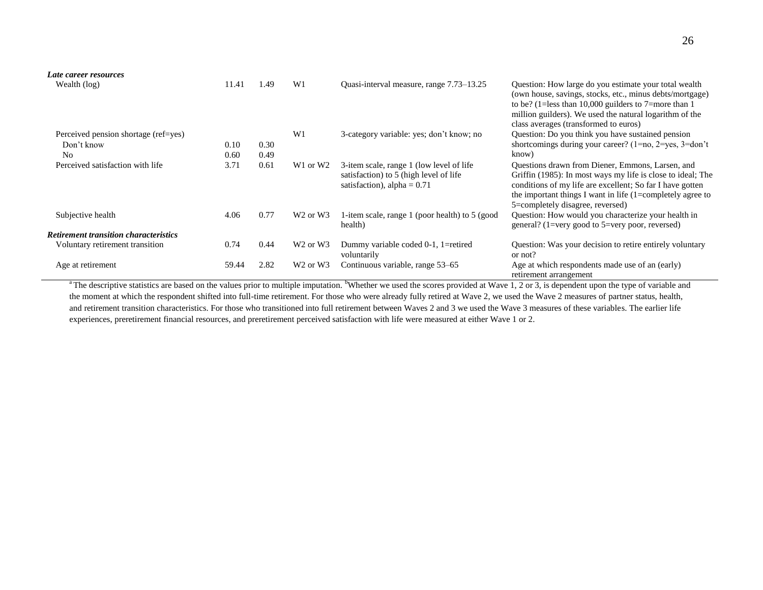| Late career resources                        |       |      |                                  |                                                                                                                      |                                                                                                                                                                                                                                                                                 |
|----------------------------------------------|-------|------|----------------------------------|----------------------------------------------------------------------------------------------------------------------|---------------------------------------------------------------------------------------------------------------------------------------------------------------------------------------------------------------------------------------------------------------------------------|
| Wealth (log)                                 | 11.41 | 1.49 | W <sub>1</sub>                   | Quasi-interval measure, range 7.73–13.25                                                                             | Question: How large do you estimate your total wealth<br>(own house, savings, stocks, etc., minus debts/mortgage)<br>to be? (1=less than 10,000 guilders to 7=more than 1<br>million guilders). We used the natural logarithm of the<br>class averages (transformed to euros)   |
| Perceived pension shortage (ref=yes)         |       |      | W1                               | 3-category variable: yes; don't know; no                                                                             | Question: Do you think you have sustained pension                                                                                                                                                                                                                               |
| Don't know                                   | 0.10  | 0.30 |                                  |                                                                                                                      | shortcomings during your career? $(1=no, 2=yes, 3=don't)$                                                                                                                                                                                                                       |
| N <sub>0</sub>                               | 0.60  | 0.49 |                                  |                                                                                                                      | know)                                                                                                                                                                                                                                                                           |
| Perceived satisfaction with life             | 3.71  | 0.61 | W <sub>1</sub> or W <sub>2</sub> | 3-item scale, range 1 (low level of life)<br>satisfaction) to 5 (high level of life<br>satisfaction), alpha = $0.71$ | Questions drawn from Diener, Emmons, Larsen, and<br>Griffin (1985): In most ways my life is close to ideal; The<br>conditions of my life are excellent; So far I have gotten<br>the important things I want in life $(1=complete]$ agree to<br>5=completely disagree, reversed) |
| Subjective health                            | 4.06  | 0.77 | W <sub>2</sub> or W <sub>3</sub> | 1-item scale, range 1 (poor health) to 5 (good<br>health)                                                            | Question: How would you characterize your health in<br>general? (1=very good to 5=very poor, reversed)                                                                                                                                                                          |
| <b>Retirement transition characteristics</b> |       |      |                                  |                                                                                                                      |                                                                                                                                                                                                                                                                                 |
| Voluntary retirement transition              | 0.74  | 0.44 | W <sub>2</sub> or W <sub>3</sub> | Dummy variable coded 0-1, 1=retired<br>voluntarily                                                                   | Question: Was your decision to retire entirely voluntary<br>or not?                                                                                                                                                                                                             |
| Age at retirement                            | 59.44 | 2.82 | W <sub>2</sub> or W <sub>3</sub> | Continuous variable, range 53–65                                                                                     | Age at which respondents made use of an (early)<br>retirement arrangement                                                                                                                                                                                                       |

<sup>a</sup> The descriptive statistics are based on the values prior to multiple imputation. <sup>b</sup>Whether we used the scores provided at Wave 1, 2 or 3, is dependent upon the type of variable and the moment at which the respondent shifted into full-time retirement. For those who were already fully retired at Wave 2, we used the Wave 2 measures of partner status, health, and retirement transition characteristics. For those who transitioned into full retirement between Waves 2 and 3 we used the Wave 3 measures of these variables. The earlier life experiences, preretirement financial resources, and preretirement perceived satisfaction with life were measured at either Wave 1 or 2.